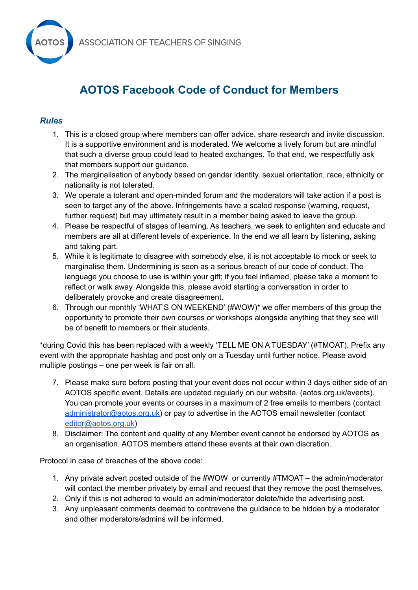



## **AOTOS Facebook Code of Conduct for Members**

## *Rules*

- 1. This is a closed group where members can offer advice, share research and invite discussion. It is a supportive environment and is moderated. We welcome a lively forum but are mindful that such a diverse group could lead to heated exchanges. To that end, we respectfully ask that members support our guidance.
- 2. The marginalisation of anybody based on gender identity, sexual orientation, race, ethnicity or nationality is not tolerated.
- 3. We operate a tolerant and open-minded forum and the moderators will take action if a post is seen to target any of the above. Infringements have a scaled response (warning, request, further request) but may ultimately result in a member being asked to leave the group.
- 4. Please be respectful of stages of learning. As teachers, we seek to enlighten and educate and members are all at different levels of experience. In the end we all learn by listening, asking and taking part.
- 5. While it is legitimate to disagree with somebody else, it is not acceptable to mock or seek to marginalise them. Undermining is seen as a serious breach of our code of conduct. The language you choose to use is within your gift; if you feel inflamed, please take a moment to reflect or walk away. Alongside this, please avoid starting a conversation in order to deliberately provoke and create disagreement.
- 6. Through our monthly 'WHAT'S ON WEEKEND' (#WOW)\* we offer members of this group the opportunity to promote their own courses or workshops alongside anything that they see will be of benefit to members or their students.

\*during Covid this has been replaced with a weekly 'TELL ME ON A TUESDAY' (#TMOAT). Prefix any event with the appropriate hashtag and post only on a Tuesday until further notice. Please avoid multiple postings – one per week is fair on all.

- 7. Please make sure before posting that your event does not occur within 3 days either side of an AOTOS specific event. Details are updated regularly on our website. (aotos.org.uk/events). You can promote your events or courses in a maximum of 2 free emails to members (contact [administrator@aotos.org.uk\)](mailto:administrator@aotos.org.uk) or pay to advertise in the AOTOS email newsletter (contact [editor@aotos.org.uk\)](mailto:editor@aotos.org.uk)
- 8. Disclaimer: The content and quality of any Member event cannot be endorsed by AOTOS as an organisation. AOTOS members attend these events at their own discretion.

Protocol in case of breaches of the above code:

- 1. Any private advert posted outside of the #WOW or currently #TMOAT the admin/moderator will contact the member privately by email and request that they remove the post themselves.
- 2. Only if this is not adhered to would an admin/moderator delete/hide the advertising post.
- 3. Any unpleasant comments deemed to contravene the guidance to be hidden by a moderator and other moderators/admins will be informed.